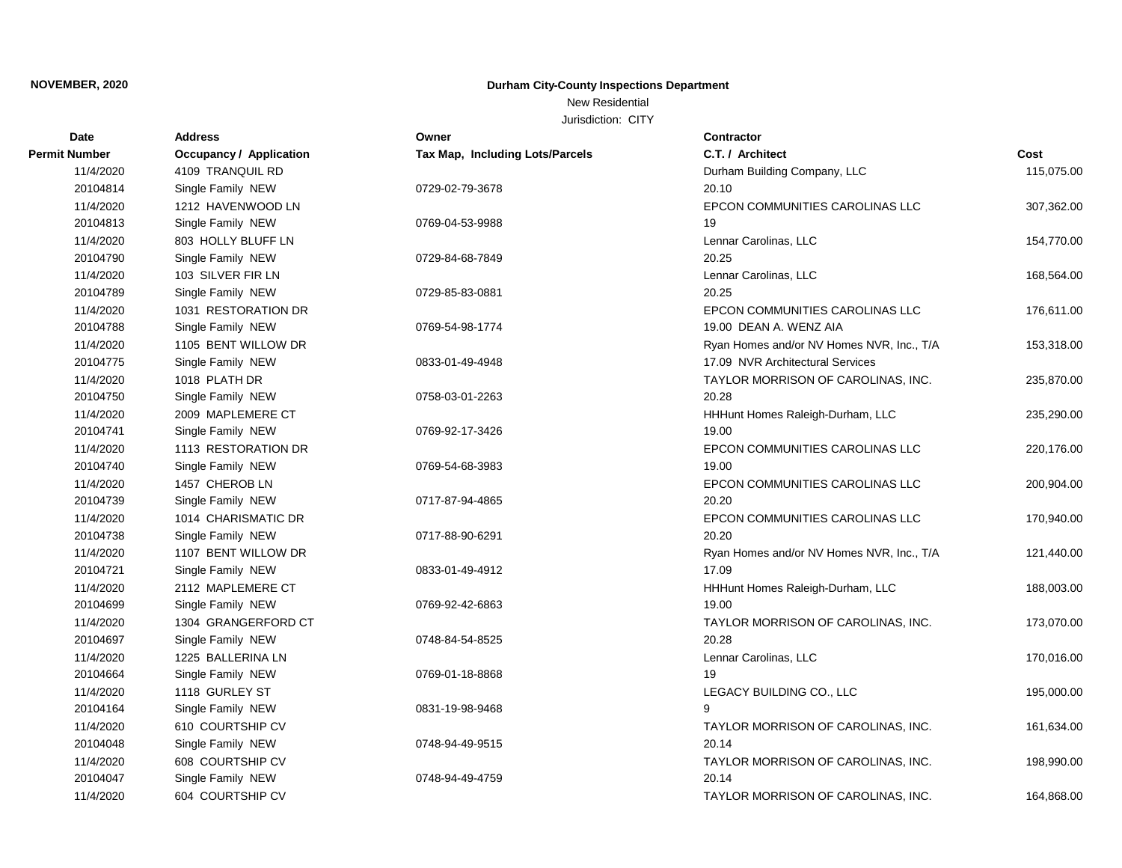# New Residential

| C.T. / Architect<br><b>Occupancy / Application</b><br>Tax Map, Including Lots/Parcels<br>Cost<br>Permit Number<br>4109 TRANQUIL RD<br>115,075.00<br>11/4/2020<br>Durham Building Company, LLC<br>20.10<br>20104814<br>Single Family NEW<br>0729-02-79-3678<br>11/4/2020<br>EPCON COMMUNITIES CAROLINAS LLC<br>1212 HAVENWOOD LN<br>307,362.00<br>20104813<br>19<br>Single Family NEW<br>0769-04-53-9988<br>11/4/2020<br>803 HOLLY BLUFF LN<br>Lennar Carolinas, LLC<br>154,770.00<br>20104790<br>20.25<br>Single Family NEW<br>0729-84-68-7849<br>11/4/2020<br>103 SILVER FIR LN<br>Lennar Carolinas, LLC<br>168,564.00<br>20104789<br>Single Family NEW<br>0729-85-83-0881<br>20.25<br>11/4/2020<br>1031 RESTORATION DR<br>EPCON COMMUNITIES CAROLINAS LLC<br>176,611.00<br>20104788<br>19.00 DEAN A. WENZ AIA<br>Single Family NEW<br>0769-54-98-1774<br>11/4/2020<br>1105 BENT WILLOW DR<br>153,318.00<br>Ryan Homes and/or NV Homes NVR, Inc., T/A<br>20104775<br>Single Family NEW<br>17.09 NVR Architectural Services<br>0833-01-49-4948<br>11/4/2020<br>1018 PLATH DR<br>TAYLOR MORRISON OF CAROLINAS, INC.<br>235,870.00<br>20104750<br>20.28<br>Single Family NEW<br>0758-03-01-2263<br>11/4/2020<br>2009 MAPLEMERE CT<br>HHHunt Homes Raleigh-Durham, LLC<br>235,290.00<br>20104741<br>Single Family NEW<br>19.00<br>0769-92-17-3426<br>11/4/2020<br>1113 RESTORATION DR<br>EPCON COMMUNITIES CAROLINAS LLC<br>220,176.00<br>20104740<br>Single Family NEW<br>19.00<br>0769-54-68-3983<br>11/4/2020<br>1457 CHEROB LN<br>EPCON COMMUNITIES CAROLINAS LLC<br>200,904.00<br>20104739<br>Single Family NEW<br>20.20<br>0717-87-94-4865<br>1014 CHARISMATIC DR<br>EPCON COMMUNITIES CAROLINAS LLC<br>11/4/2020<br>170,940.00<br>20104738<br>Single Family NEW<br>0717-88-90-6291<br>20.20<br>11/4/2020<br>1107 BENT WILLOW DR<br>Ryan Homes and/or NV Homes NVR, Inc., T/A<br>121,440.00<br>20104721<br>Single Family NEW<br>17.09<br>0833-01-49-4912<br>11/4/2020<br>2112 MAPLEMERE CT<br>HHHunt Homes Raleigh-Durham, LLC<br>188,003.00<br>20104699<br>19.00<br>Single Family NEW<br>0769-92-42-6863<br>11/4/2020<br>1304 GRANGERFORD CT<br>TAYLOR MORRISON OF CAROLINAS, INC.<br>173,070.00<br>20104697<br>20.28<br>Single Family NEW<br>0748-84-54-8525<br>11/4/2020<br>Lennar Carolinas, LLC<br>1225 BALLERINA LN<br>170,016.00<br>20104664<br>Single Family NEW<br>19<br>0769-01-18-8868<br>11/4/2020<br>1118 GURLEY ST<br>LEGACY BUILDING CO., LLC<br>195,000.00<br>9<br>20104164<br>Single Family NEW<br>0831-19-98-9468<br>610 COURTSHIP CV<br>11/4/2020<br>TAYLOR MORRISON OF CAROLINAS, INC.<br>161,634.00<br>20104048<br>Single Family NEW<br>20.14<br>0748-94-49-9515<br>11/4/2020<br>608 COURTSHIP CV<br>TAYLOR MORRISON OF CAROLINAS, INC.<br>198,990.00<br>20104047<br>Single Family NEW<br>0748-94-49-4759<br>20.14<br>604 COURTSHIP CV<br>11/4/2020<br>TAYLOR MORRISON OF CAROLINAS, INC.<br>164,868.00 | <b>Date</b> | <b>Address</b> | Owner | <b>Contractor</b> |  |
|---------------------------------------------------------------------------------------------------------------------------------------------------------------------------------------------------------------------------------------------------------------------------------------------------------------------------------------------------------------------------------------------------------------------------------------------------------------------------------------------------------------------------------------------------------------------------------------------------------------------------------------------------------------------------------------------------------------------------------------------------------------------------------------------------------------------------------------------------------------------------------------------------------------------------------------------------------------------------------------------------------------------------------------------------------------------------------------------------------------------------------------------------------------------------------------------------------------------------------------------------------------------------------------------------------------------------------------------------------------------------------------------------------------------------------------------------------------------------------------------------------------------------------------------------------------------------------------------------------------------------------------------------------------------------------------------------------------------------------------------------------------------------------------------------------------------------------------------------------------------------------------------------------------------------------------------------------------------------------------------------------------------------------------------------------------------------------------------------------------------------------------------------------------------------------------------------------------------------------------------------------------------------------------------------------------------------------------------------------------------------------------------------------------------------------------------------------------------------------------------------------------------------------------------------------------------------------------------------------------------------------------------------------------------------------------------------------------------------------------------------------------------------------------------------------------------------------------------------------------------------------------------------------------------------------|-------------|----------------|-------|-------------------|--|
|                                                                                                                                                                                                                                                                                                                                                                                                                                                                                                                                                                                                                                                                                                                                                                                                                                                                                                                                                                                                                                                                                                                                                                                                                                                                                                                                                                                                                                                                                                                                                                                                                                                                                                                                                                                                                                                                                                                                                                                                                                                                                                                                                                                                                                                                                                                                                                                                                                                                                                                                                                                                                                                                                                                                                                                                                                                                                                                                 |             |                |       |                   |  |
|                                                                                                                                                                                                                                                                                                                                                                                                                                                                                                                                                                                                                                                                                                                                                                                                                                                                                                                                                                                                                                                                                                                                                                                                                                                                                                                                                                                                                                                                                                                                                                                                                                                                                                                                                                                                                                                                                                                                                                                                                                                                                                                                                                                                                                                                                                                                                                                                                                                                                                                                                                                                                                                                                                                                                                                                                                                                                                                                 |             |                |       |                   |  |
|                                                                                                                                                                                                                                                                                                                                                                                                                                                                                                                                                                                                                                                                                                                                                                                                                                                                                                                                                                                                                                                                                                                                                                                                                                                                                                                                                                                                                                                                                                                                                                                                                                                                                                                                                                                                                                                                                                                                                                                                                                                                                                                                                                                                                                                                                                                                                                                                                                                                                                                                                                                                                                                                                                                                                                                                                                                                                                                                 |             |                |       |                   |  |
|                                                                                                                                                                                                                                                                                                                                                                                                                                                                                                                                                                                                                                                                                                                                                                                                                                                                                                                                                                                                                                                                                                                                                                                                                                                                                                                                                                                                                                                                                                                                                                                                                                                                                                                                                                                                                                                                                                                                                                                                                                                                                                                                                                                                                                                                                                                                                                                                                                                                                                                                                                                                                                                                                                                                                                                                                                                                                                                                 |             |                |       |                   |  |
|                                                                                                                                                                                                                                                                                                                                                                                                                                                                                                                                                                                                                                                                                                                                                                                                                                                                                                                                                                                                                                                                                                                                                                                                                                                                                                                                                                                                                                                                                                                                                                                                                                                                                                                                                                                                                                                                                                                                                                                                                                                                                                                                                                                                                                                                                                                                                                                                                                                                                                                                                                                                                                                                                                                                                                                                                                                                                                                                 |             |                |       |                   |  |
|                                                                                                                                                                                                                                                                                                                                                                                                                                                                                                                                                                                                                                                                                                                                                                                                                                                                                                                                                                                                                                                                                                                                                                                                                                                                                                                                                                                                                                                                                                                                                                                                                                                                                                                                                                                                                                                                                                                                                                                                                                                                                                                                                                                                                                                                                                                                                                                                                                                                                                                                                                                                                                                                                                                                                                                                                                                                                                                                 |             |                |       |                   |  |
|                                                                                                                                                                                                                                                                                                                                                                                                                                                                                                                                                                                                                                                                                                                                                                                                                                                                                                                                                                                                                                                                                                                                                                                                                                                                                                                                                                                                                                                                                                                                                                                                                                                                                                                                                                                                                                                                                                                                                                                                                                                                                                                                                                                                                                                                                                                                                                                                                                                                                                                                                                                                                                                                                                                                                                                                                                                                                                                                 |             |                |       |                   |  |
|                                                                                                                                                                                                                                                                                                                                                                                                                                                                                                                                                                                                                                                                                                                                                                                                                                                                                                                                                                                                                                                                                                                                                                                                                                                                                                                                                                                                                                                                                                                                                                                                                                                                                                                                                                                                                                                                                                                                                                                                                                                                                                                                                                                                                                                                                                                                                                                                                                                                                                                                                                                                                                                                                                                                                                                                                                                                                                                                 |             |                |       |                   |  |
|                                                                                                                                                                                                                                                                                                                                                                                                                                                                                                                                                                                                                                                                                                                                                                                                                                                                                                                                                                                                                                                                                                                                                                                                                                                                                                                                                                                                                                                                                                                                                                                                                                                                                                                                                                                                                                                                                                                                                                                                                                                                                                                                                                                                                                                                                                                                                                                                                                                                                                                                                                                                                                                                                                                                                                                                                                                                                                                                 |             |                |       |                   |  |
|                                                                                                                                                                                                                                                                                                                                                                                                                                                                                                                                                                                                                                                                                                                                                                                                                                                                                                                                                                                                                                                                                                                                                                                                                                                                                                                                                                                                                                                                                                                                                                                                                                                                                                                                                                                                                                                                                                                                                                                                                                                                                                                                                                                                                                                                                                                                                                                                                                                                                                                                                                                                                                                                                                                                                                                                                                                                                                                                 |             |                |       |                   |  |
|                                                                                                                                                                                                                                                                                                                                                                                                                                                                                                                                                                                                                                                                                                                                                                                                                                                                                                                                                                                                                                                                                                                                                                                                                                                                                                                                                                                                                                                                                                                                                                                                                                                                                                                                                                                                                                                                                                                                                                                                                                                                                                                                                                                                                                                                                                                                                                                                                                                                                                                                                                                                                                                                                                                                                                                                                                                                                                                                 |             |                |       |                   |  |
|                                                                                                                                                                                                                                                                                                                                                                                                                                                                                                                                                                                                                                                                                                                                                                                                                                                                                                                                                                                                                                                                                                                                                                                                                                                                                                                                                                                                                                                                                                                                                                                                                                                                                                                                                                                                                                                                                                                                                                                                                                                                                                                                                                                                                                                                                                                                                                                                                                                                                                                                                                                                                                                                                                                                                                                                                                                                                                                                 |             |                |       |                   |  |
|                                                                                                                                                                                                                                                                                                                                                                                                                                                                                                                                                                                                                                                                                                                                                                                                                                                                                                                                                                                                                                                                                                                                                                                                                                                                                                                                                                                                                                                                                                                                                                                                                                                                                                                                                                                                                                                                                                                                                                                                                                                                                                                                                                                                                                                                                                                                                                                                                                                                                                                                                                                                                                                                                                                                                                                                                                                                                                                                 |             |                |       |                   |  |
|                                                                                                                                                                                                                                                                                                                                                                                                                                                                                                                                                                                                                                                                                                                                                                                                                                                                                                                                                                                                                                                                                                                                                                                                                                                                                                                                                                                                                                                                                                                                                                                                                                                                                                                                                                                                                                                                                                                                                                                                                                                                                                                                                                                                                                                                                                                                                                                                                                                                                                                                                                                                                                                                                                                                                                                                                                                                                                                                 |             |                |       |                   |  |
|                                                                                                                                                                                                                                                                                                                                                                                                                                                                                                                                                                                                                                                                                                                                                                                                                                                                                                                                                                                                                                                                                                                                                                                                                                                                                                                                                                                                                                                                                                                                                                                                                                                                                                                                                                                                                                                                                                                                                                                                                                                                                                                                                                                                                                                                                                                                                                                                                                                                                                                                                                                                                                                                                                                                                                                                                                                                                                                                 |             |                |       |                   |  |
|                                                                                                                                                                                                                                                                                                                                                                                                                                                                                                                                                                                                                                                                                                                                                                                                                                                                                                                                                                                                                                                                                                                                                                                                                                                                                                                                                                                                                                                                                                                                                                                                                                                                                                                                                                                                                                                                                                                                                                                                                                                                                                                                                                                                                                                                                                                                                                                                                                                                                                                                                                                                                                                                                                                                                                                                                                                                                                                                 |             |                |       |                   |  |
|                                                                                                                                                                                                                                                                                                                                                                                                                                                                                                                                                                                                                                                                                                                                                                                                                                                                                                                                                                                                                                                                                                                                                                                                                                                                                                                                                                                                                                                                                                                                                                                                                                                                                                                                                                                                                                                                                                                                                                                                                                                                                                                                                                                                                                                                                                                                                                                                                                                                                                                                                                                                                                                                                                                                                                                                                                                                                                                                 |             |                |       |                   |  |
|                                                                                                                                                                                                                                                                                                                                                                                                                                                                                                                                                                                                                                                                                                                                                                                                                                                                                                                                                                                                                                                                                                                                                                                                                                                                                                                                                                                                                                                                                                                                                                                                                                                                                                                                                                                                                                                                                                                                                                                                                                                                                                                                                                                                                                                                                                                                                                                                                                                                                                                                                                                                                                                                                                                                                                                                                                                                                                                                 |             |                |       |                   |  |
|                                                                                                                                                                                                                                                                                                                                                                                                                                                                                                                                                                                                                                                                                                                                                                                                                                                                                                                                                                                                                                                                                                                                                                                                                                                                                                                                                                                                                                                                                                                                                                                                                                                                                                                                                                                                                                                                                                                                                                                                                                                                                                                                                                                                                                                                                                                                                                                                                                                                                                                                                                                                                                                                                                                                                                                                                                                                                                                                 |             |                |       |                   |  |
|                                                                                                                                                                                                                                                                                                                                                                                                                                                                                                                                                                                                                                                                                                                                                                                                                                                                                                                                                                                                                                                                                                                                                                                                                                                                                                                                                                                                                                                                                                                                                                                                                                                                                                                                                                                                                                                                                                                                                                                                                                                                                                                                                                                                                                                                                                                                                                                                                                                                                                                                                                                                                                                                                                                                                                                                                                                                                                                                 |             |                |       |                   |  |
|                                                                                                                                                                                                                                                                                                                                                                                                                                                                                                                                                                                                                                                                                                                                                                                                                                                                                                                                                                                                                                                                                                                                                                                                                                                                                                                                                                                                                                                                                                                                                                                                                                                                                                                                                                                                                                                                                                                                                                                                                                                                                                                                                                                                                                                                                                                                                                                                                                                                                                                                                                                                                                                                                                                                                                                                                                                                                                                                 |             |                |       |                   |  |
|                                                                                                                                                                                                                                                                                                                                                                                                                                                                                                                                                                                                                                                                                                                                                                                                                                                                                                                                                                                                                                                                                                                                                                                                                                                                                                                                                                                                                                                                                                                                                                                                                                                                                                                                                                                                                                                                                                                                                                                                                                                                                                                                                                                                                                                                                                                                                                                                                                                                                                                                                                                                                                                                                                                                                                                                                                                                                                                                 |             |                |       |                   |  |
|                                                                                                                                                                                                                                                                                                                                                                                                                                                                                                                                                                                                                                                                                                                                                                                                                                                                                                                                                                                                                                                                                                                                                                                                                                                                                                                                                                                                                                                                                                                                                                                                                                                                                                                                                                                                                                                                                                                                                                                                                                                                                                                                                                                                                                                                                                                                                                                                                                                                                                                                                                                                                                                                                                                                                                                                                                                                                                                                 |             |                |       |                   |  |
|                                                                                                                                                                                                                                                                                                                                                                                                                                                                                                                                                                                                                                                                                                                                                                                                                                                                                                                                                                                                                                                                                                                                                                                                                                                                                                                                                                                                                                                                                                                                                                                                                                                                                                                                                                                                                                                                                                                                                                                                                                                                                                                                                                                                                                                                                                                                                                                                                                                                                                                                                                                                                                                                                                                                                                                                                                                                                                                                 |             |                |       |                   |  |
|                                                                                                                                                                                                                                                                                                                                                                                                                                                                                                                                                                                                                                                                                                                                                                                                                                                                                                                                                                                                                                                                                                                                                                                                                                                                                                                                                                                                                                                                                                                                                                                                                                                                                                                                                                                                                                                                                                                                                                                                                                                                                                                                                                                                                                                                                                                                                                                                                                                                                                                                                                                                                                                                                                                                                                                                                                                                                                                                 |             |                |       |                   |  |
|                                                                                                                                                                                                                                                                                                                                                                                                                                                                                                                                                                                                                                                                                                                                                                                                                                                                                                                                                                                                                                                                                                                                                                                                                                                                                                                                                                                                                                                                                                                                                                                                                                                                                                                                                                                                                                                                                                                                                                                                                                                                                                                                                                                                                                                                                                                                                                                                                                                                                                                                                                                                                                                                                                                                                                                                                                                                                                                                 |             |                |       |                   |  |
|                                                                                                                                                                                                                                                                                                                                                                                                                                                                                                                                                                                                                                                                                                                                                                                                                                                                                                                                                                                                                                                                                                                                                                                                                                                                                                                                                                                                                                                                                                                                                                                                                                                                                                                                                                                                                                                                                                                                                                                                                                                                                                                                                                                                                                                                                                                                                                                                                                                                                                                                                                                                                                                                                                                                                                                                                                                                                                                                 |             |                |       |                   |  |
|                                                                                                                                                                                                                                                                                                                                                                                                                                                                                                                                                                                                                                                                                                                                                                                                                                                                                                                                                                                                                                                                                                                                                                                                                                                                                                                                                                                                                                                                                                                                                                                                                                                                                                                                                                                                                                                                                                                                                                                                                                                                                                                                                                                                                                                                                                                                                                                                                                                                                                                                                                                                                                                                                                                                                                                                                                                                                                                                 |             |                |       |                   |  |
|                                                                                                                                                                                                                                                                                                                                                                                                                                                                                                                                                                                                                                                                                                                                                                                                                                                                                                                                                                                                                                                                                                                                                                                                                                                                                                                                                                                                                                                                                                                                                                                                                                                                                                                                                                                                                                                                                                                                                                                                                                                                                                                                                                                                                                                                                                                                                                                                                                                                                                                                                                                                                                                                                                                                                                                                                                                                                                                                 |             |                |       |                   |  |
|                                                                                                                                                                                                                                                                                                                                                                                                                                                                                                                                                                                                                                                                                                                                                                                                                                                                                                                                                                                                                                                                                                                                                                                                                                                                                                                                                                                                                                                                                                                                                                                                                                                                                                                                                                                                                                                                                                                                                                                                                                                                                                                                                                                                                                                                                                                                                                                                                                                                                                                                                                                                                                                                                                                                                                                                                                                                                                                                 |             |                |       |                   |  |
|                                                                                                                                                                                                                                                                                                                                                                                                                                                                                                                                                                                                                                                                                                                                                                                                                                                                                                                                                                                                                                                                                                                                                                                                                                                                                                                                                                                                                                                                                                                                                                                                                                                                                                                                                                                                                                                                                                                                                                                                                                                                                                                                                                                                                                                                                                                                                                                                                                                                                                                                                                                                                                                                                                                                                                                                                                                                                                                                 |             |                |       |                   |  |
|                                                                                                                                                                                                                                                                                                                                                                                                                                                                                                                                                                                                                                                                                                                                                                                                                                                                                                                                                                                                                                                                                                                                                                                                                                                                                                                                                                                                                                                                                                                                                                                                                                                                                                                                                                                                                                                                                                                                                                                                                                                                                                                                                                                                                                                                                                                                                                                                                                                                                                                                                                                                                                                                                                                                                                                                                                                                                                                                 |             |                |       |                   |  |
|                                                                                                                                                                                                                                                                                                                                                                                                                                                                                                                                                                                                                                                                                                                                                                                                                                                                                                                                                                                                                                                                                                                                                                                                                                                                                                                                                                                                                                                                                                                                                                                                                                                                                                                                                                                                                                                                                                                                                                                                                                                                                                                                                                                                                                                                                                                                                                                                                                                                                                                                                                                                                                                                                                                                                                                                                                                                                                                                 |             |                |       |                   |  |
|                                                                                                                                                                                                                                                                                                                                                                                                                                                                                                                                                                                                                                                                                                                                                                                                                                                                                                                                                                                                                                                                                                                                                                                                                                                                                                                                                                                                                                                                                                                                                                                                                                                                                                                                                                                                                                                                                                                                                                                                                                                                                                                                                                                                                                                                                                                                                                                                                                                                                                                                                                                                                                                                                                                                                                                                                                                                                                                                 |             |                |       |                   |  |
|                                                                                                                                                                                                                                                                                                                                                                                                                                                                                                                                                                                                                                                                                                                                                                                                                                                                                                                                                                                                                                                                                                                                                                                                                                                                                                                                                                                                                                                                                                                                                                                                                                                                                                                                                                                                                                                                                                                                                                                                                                                                                                                                                                                                                                                                                                                                                                                                                                                                                                                                                                                                                                                                                                                                                                                                                                                                                                                                 |             |                |       |                   |  |
|                                                                                                                                                                                                                                                                                                                                                                                                                                                                                                                                                                                                                                                                                                                                                                                                                                                                                                                                                                                                                                                                                                                                                                                                                                                                                                                                                                                                                                                                                                                                                                                                                                                                                                                                                                                                                                                                                                                                                                                                                                                                                                                                                                                                                                                                                                                                                                                                                                                                                                                                                                                                                                                                                                                                                                                                                                                                                                                                 |             |                |       |                   |  |
|                                                                                                                                                                                                                                                                                                                                                                                                                                                                                                                                                                                                                                                                                                                                                                                                                                                                                                                                                                                                                                                                                                                                                                                                                                                                                                                                                                                                                                                                                                                                                                                                                                                                                                                                                                                                                                                                                                                                                                                                                                                                                                                                                                                                                                                                                                                                                                                                                                                                                                                                                                                                                                                                                                                                                                                                                                                                                                                                 |             |                |       |                   |  |
|                                                                                                                                                                                                                                                                                                                                                                                                                                                                                                                                                                                                                                                                                                                                                                                                                                                                                                                                                                                                                                                                                                                                                                                                                                                                                                                                                                                                                                                                                                                                                                                                                                                                                                                                                                                                                                                                                                                                                                                                                                                                                                                                                                                                                                                                                                                                                                                                                                                                                                                                                                                                                                                                                                                                                                                                                                                                                                                                 |             |                |       |                   |  |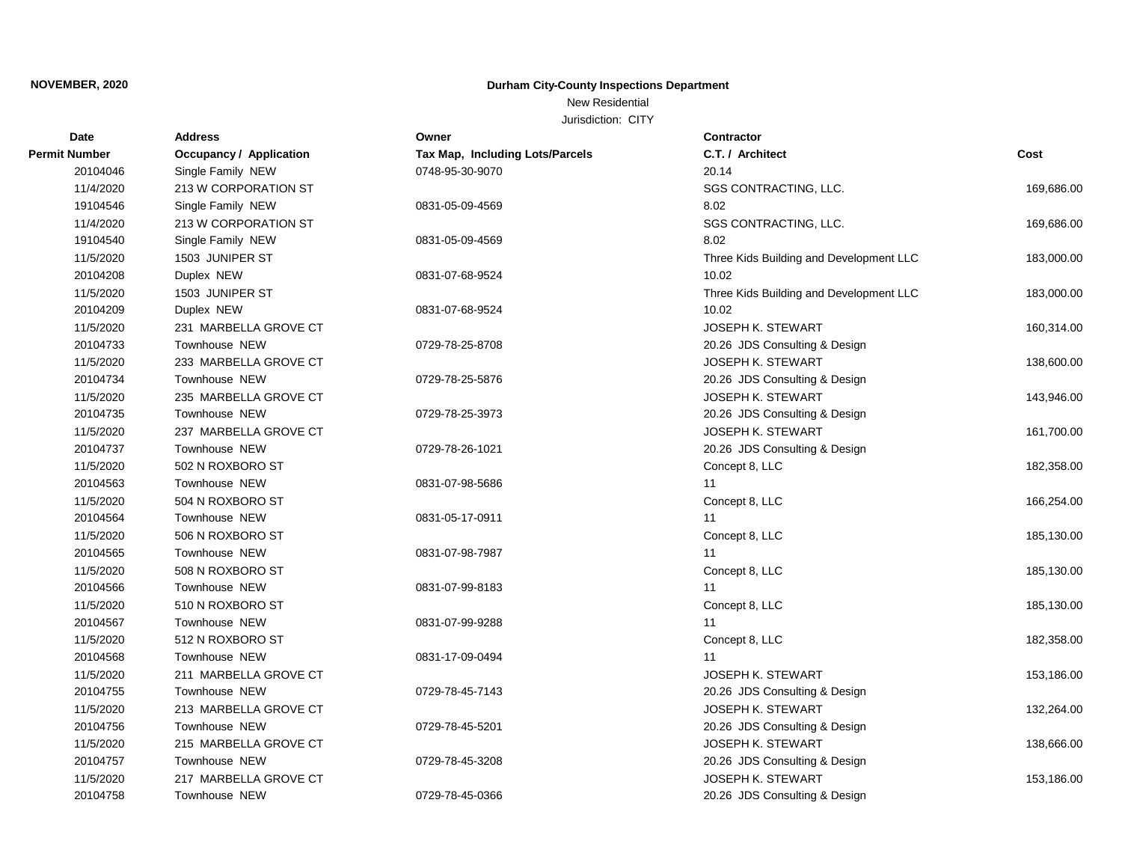# New Residential

| <b>Date</b>   | <b>Address</b>                 | Owner                           | Contractor                              |            |
|---------------|--------------------------------|---------------------------------|-----------------------------------------|------------|
| Permit Number | <b>Occupancy / Application</b> | Tax Map, Including Lots/Parcels | C.T. / Architect                        | Cost       |
| 20104046      | Single Family NEW              | 0748-95-30-9070                 | 20.14                                   |            |
| 11/4/2020     | 213 W CORPORATION ST           |                                 | SGS CONTRACTING, LLC.                   | 169,686.00 |
| 19104546      | Single Family NEW              | 0831-05-09-4569                 | 8.02                                    |            |
| 11/4/2020     | 213 W CORPORATION ST           |                                 | SGS CONTRACTING, LLC.                   | 169,686.00 |
| 19104540      | Single Family NEW              | 0831-05-09-4569                 | 8.02                                    |            |
| 11/5/2020     | 1503 JUNIPER ST                |                                 | Three Kids Building and Development LLC | 183,000.00 |
| 20104208      | Duplex NEW                     | 0831-07-68-9524                 | 10.02                                   |            |
| 11/5/2020     | 1503 JUNIPER ST                |                                 | Three Kids Building and Development LLC | 183,000.00 |
| 20104209      | Duplex NEW                     | 0831-07-68-9524                 | 10.02                                   |            |
| 11/5/2020     | 231 MARBELLA GROVE CT          |                                 | JOSEPH K. STEWART                       | 160,314.00 |
| 20104733      | Townhouse NEW                  | 0729-78-25-8708                 | 20.26 JDS Consulting & Design           |            |
| 11/5/2020     | 233 MARBELLA GROVE CT          |                                 | <b>JOSEPH K. STEWART</b>                | 138,600.00 |
| 20104734      | Townhouse NEW                  | 0729-78-25-5876                 | 20.26 JDS Consulting & Design           |            |
| 11/5/2020     | 235 MARBELLA GROVE CT          |                                 | <b>JOSEPH K. STEWART</b>                | 143,946.00 |
| 20104735      | Townhouse NEW                  | 0729-78-25-3973                 | 20.26 JDS Consulting & Design           |            |
| 11/5/2020     | 237 MARBELLA GROVE CT          |                                 | <b>JOSEPH K. STEWART</b>                | 161,700.00 |
| 20104737      | Townhouse NEW                  | 0729-78-26-1021                 | 20.26 JDS Consulting & Design           |            |
| 11/5/2020     | 502 N ROXBORO ST               |                                 | Concept 8, LLC                          | 182,358.00 |
| 20104563      | Townhouse NEW                  | 0831-07-98-5686                 | 11                                      |            |
| 11/5/2020     | 504 N ROXBORO ST               |                                 | Concept 8, LLC                          | 166,254.00 |
| 20104564      | Townhouse NEW                  | 0831-05-17-0911                 | 11                                      |            |
| 11/5/2020     | 506 N ROXBORO ST               |                                 | Concept 8, LLC                          | 185,130.00 |
| 20104565      | Townhouse NEW                  | 0831-07-98-7987                 | 11                                      |            |
| 11/5/2020     | 508 N ROXBORO ST               |                                 | Concept 8, LLC                          | 185,130.00 |
| 20104566      | Townhouse NEW                  | 0831-07-99-8183                 | 11                                      |            |
| 11/5/2020     | 510 N ROXBORO ST               |                                 | Concept 8, LLC                          | 185,130.00 |
| 20104567      | Townhouse NEW                  | 0831-07-99-9288                 | 11                                      |            |
| 11/5/2020     | 512 N ROXBORO ST               |                                 | Concept 8, LLC                          | 182,358.00 |
| 20104568      | Townhouse NEW                  | 0831-17-09-0494                 | 11                                      |            |
| 11/5/2020     | 211 MARBELLA GROVE CT          |                                 | JOSEPH K. STEWART                       | 153,186.00 |
| 20104755      | Townhouse NEW                  | 0729-78-45-7143                 | 20.26 JDS Consulting & Design           |            |
| 11/5/2020     | 213 MARBELLA GROVE CT          |                                 | JOSEPH K. STEWART                       | 132,264.00 |
| 20104756      | Townhouse NEW                  | 0729-78-45-5201                 | 20.26 JDS Consulting & Design           |            |
| 11/5/2020     | 215 MARBELLA GROVE CT          |                                 | JOSEPH K. STEWART                       | 138,666.00 |
| 20104757      | Townhouse NEW                  | 0729-78-45-3208                 | 20.26 JDS Consulting & Design           |            |
| 11/5/2020     | 217 MARBELLA GROVE CT          |                                 | <b>JOSEPH K. STEWART</b>                | 153,186.00 |
| 20104758      | Townhouse NEW                  | 0729-78-45-0366                 | 20.26 JDS Consulting & Design           |            |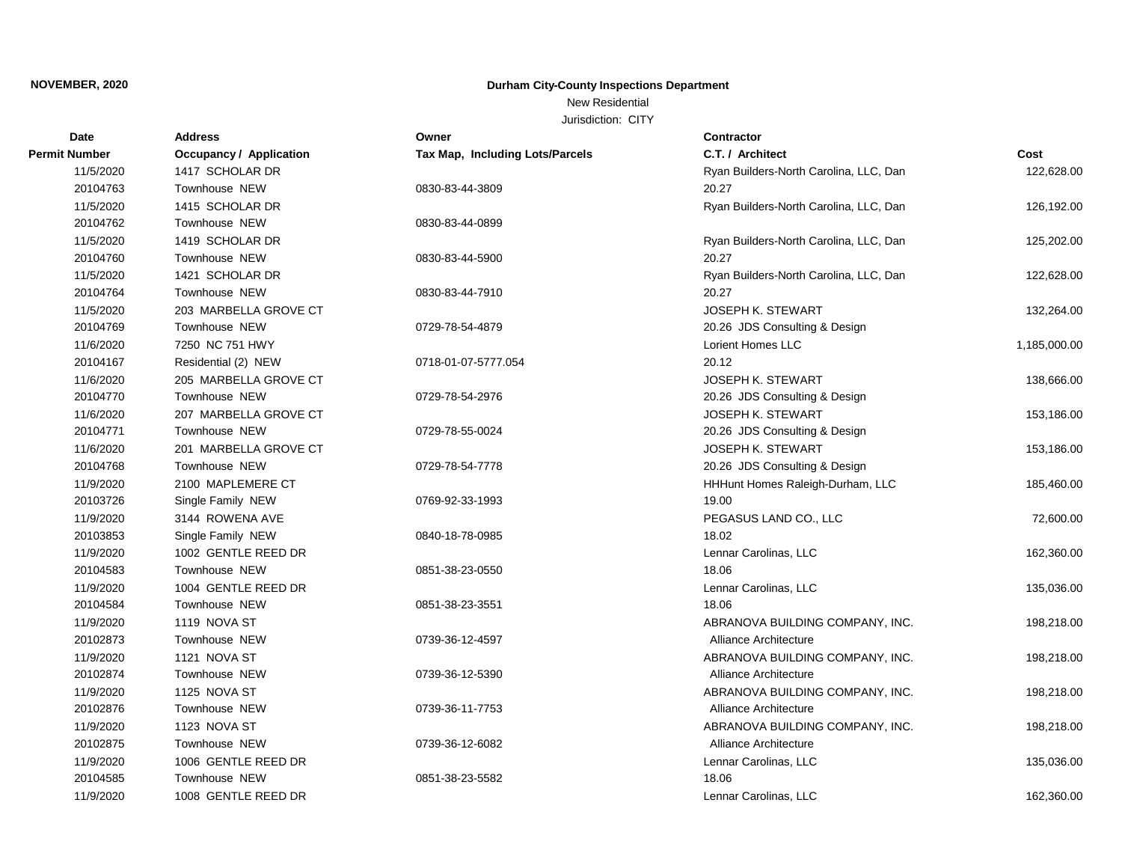# New Residential

| <b>Date</b>   | <b>Address</b>                 | Owner                           | <b>Contractor</b>                      |              |
|---------------|--------------------------------|---------------------------------|----------------------------------------|--------------|
| Permit Number | <b>Occupancy / Application</b> | Tax Map, Including Lots/Parcels | C.T. / Architect                       | Cost         |
| 11/5/2020     | 1417 SCHOLAR DR                |                                 | Ryan Builders-North Carolina, LLC, Dan | 122,628.00   |
| 20104763      | Townhouse NEW                  | 0830-83-44-3809                 | 20.27                                  |              |
| 11/5/2020     | 1415 SCHOLAR DR                |                                 | Ryan Builders-North Carolina, LLC, Dan | 126,192.00   |
| 20104762      | Townhouse NEW                  | 0830-83-44-0899                 |                                        |              |
| 11/5/2020     | 1419 SCHOLAR DR                |                                 | Ryan Builders-North Carolina, LLC, Dan | 125,202.00   |
| 20104760      | Townhouse NEW                  | 0830-83-44-5900                 | 20.27                                  |              |
| 11/5/2020     | 1421 SCHOLAR DR                |                                 | Ryan Builders-North Carolina, LLC, Dan | 122,628.00   |
| 20104764      | Townhouse NEW                  | 0830-83-44-7910                 | 20.27                                  |              |
| 11/5/2020     | 203 MARBELLA GROVE CT          |                                 | <b>JOSEPH K. STEWART</b>               | 132,264.00   |
| 20104769      | Townhouse NEW                  | 0729-78-54-4879                 | 20.26 JDS Consulting & Design          |              |
| 11/6/2020     | 7250 NC 751 HWY                |                                 | Lorient Homes LLC                      | 1,185,000.00 |
| 20104167      | Residential (2) NEW            | 0718-01-07-5777.054             | 20.12                                  |              |
| 11/6/2020     | 205 MARBELLA GROVE CT          |                                 | <b>JOSEPH K. STEWART</b>               | 138,666.00   |
| 20104770      | Townhouse NEW                  | 0729-78-54-2976                 | 20.26 JDS Consulting & Design          |              |
| 11/6/2020     | 207 MARBELLA GROVE CT          |                                 | <b>JOSEPH K. STEWART</b>               | 153,186.00   |
| 20104771      | Townhouse NEW                  | 0729-78-55-0024                 | 20.26 JDS Consulting & Design          |              |
| 11/6/2020     | 201 MARBELLA GROVE CT          |                                 | <b>JOSEPH K. STEWART</b>               | 153,186.00   |
| 20104768      | Townhouse NEW                  | 0729-78-54-7778                 | 20.26 JDS Consulting & Design          |              |
| 11/9/2020     | 2100 MAPLEMERE CT              |                                 | HHHunt Homes Raleigh-Durham, LLC       | 185,460.00   |
| 20103726      | Single Family NEW              | 0769-92-33-1993                 | 19.00                                  |              |
| 11/9/2020     | 3144 ROWENA AVE                |                                 | PEGASUS LAND CO., LLC                  | 72,600.00    |
| 20103853      | Single Family NEW              | 0840-18-78-0985                 | 18.02                                  |              |
| 11/9/2020     | 1002 GENTLE REED DR            |                                 | Lennar Carolinas, LLC                  | 162,360.00   |
| 20104583      | Townhouse NEW                  | 0851-38-23-0550                 | 18.06                                  |              |
| 11/9/2020     | 1004 GENTLE REED DR            |                                 | Lennar Carolinas, LLC                  | 135,036.00   |
| 20104584      | Townhouse NEW                  | 0851-38-23-3551                 | 18.06                                  |              |
| 11/9/2020     | 1119 NOVA ST                   |                                 | ABRANOVA BUILDING COMPANY, INC.        | 198,218.00   |
| 20102873      | Townhouse NEW                  | 0739-36-12-4597                 | <b>Alliance Architecture</b>           |              |
| 11/9/2020     | 1121 NOVA ST                   |                                 | ABRANOVA BUILDING COMPANY, INC.        | 198,218.00   |
| 20102874      | Townhouse NEW                  | 0739-36-12-5390                 | <b>Alliance Architecture</b>           |              |
| 11/9/2020     | 1125 NOVA ST                   |                                 | ABRANOVA BUILDING COMPANY, INC.        | 198,218.00   |
| 20102876      | Townhouse NEW                  | 0739-36-11-7753                 | <b>Alliance Architecture</b>           |              |
| 11/9/2020     | 1123 NOVA ST                   |                                 | ABRANOVA BUILDING COMPANY, INC.        | 198,218.00   |
| 20102875      | Townhouse NEW                  | 0739-36-12-6082                 | Alliance Architecture                  |              |
| 11/9/2020     | 1006 GENTLE REED DR            |                                 | Lennar Carolinas, LLC                  | 135,036.00   |
| 20104585      | Townhouse NEW                  | 0851-38-23-5582                 | 18.06                                  |              |
| 11/9/2020     | 1008 GENTLE REED DR            |                                 | Lennar Carolinas, LLC                  | 162,360.00   |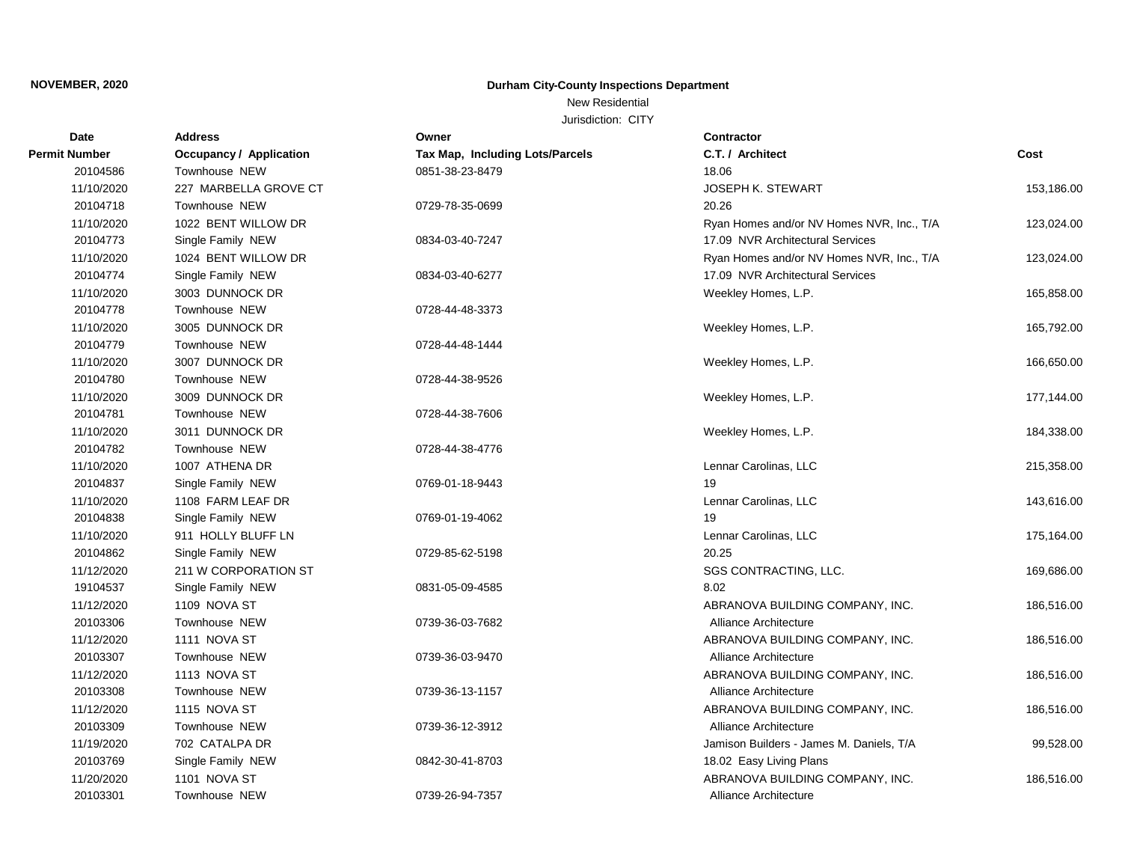# New Residential

| <b>Date</b>   | <b>Address</b>                 | Owner                           | <b>Contractor</b>                         |            |
|---------------|--------------------------------|---------------------------------|-------------------------------------------|------------|
| Permit Number | <b>Occupancy / Application</b> | Tax Map, Including Lots/Parcels | C.T. / Architect                          | Cost       |
| 20104586      | Townhouse NEW                  | 0851-38-23-8479                 | 18.06                                     |            |
| 11/10/2020    | 227 MARBELLA GROVE CT          |                                 | JOSEPH K. STEWART                         | 153,186.00 |
| 20104718      | Townhouse NEW                  | 0729-78-35-0699                 | 20.26                                     |            |
| 11/10/2020    | 1022 BENT WILLOW DR            |                                 | Ryan Homes and/or NV Homes NVR, Inc., T/A | 123,024.00 |
| 20104773      | Single Family NEW              | 0834-03-40-7247                 | 17.09 NVR Architectural Services          |            |
| 11/10/2020    | 1024 BENT WILLOW DR            |                                 | Ryan Homes and/or NV Homes NVR, Inc., T/A | 123,024.00 |
| 20104774      | Single Family NEW              | 0834-03-40-6277                 | 17.09 NVR Architectural Services          |            |
| 11/10/2020    | 3003 DUNNOCK DR                |                                 | Weekley Homes, L.P.                       | 165,858.00 |
| 20104778      | Townhouse NEW                  | 0728-44-48-3373                 |                                           |            |
| 11/10/2020    | 3005 DUNNOCK DR                |                                 | Weekley Homes, L.P.                       | 165,792.00 |
| 20104779      | Townhouse NEW                  | 0728-44-48-1444                 |                                           |            |
| 11/10/2020    | 3007 DUNNOCK DR                |                                 | Weekley Homes, L.P.                       | 166,650.00 |
| 20104780      | Townhouse NEW                  | 0728-44-38-9526                 |                                           |            |
| 11/10/2020    | 3009 DUNNOCK DR                |                                 | Weekley Homes, L.P.                       | 177,144.00 |
| 20104781      | Townhouse NEW                  | 0728-44-38-7606                 |                                           |            |
| 11/10/2020    | 3011 DUNNOCK DR                |                                 | Weekley Homes, L.P.                       | 184,338.00 |
| 20104782      | Townhouse NEW                  | 0728-44-38-4776                 |                                           |            |
| 11/10/2020    | 1007 ATHENA DR                 |                                 | Lennar Carolinas, LLC                     | 215,358.00 |
| 20104837      | Single Family NEW              | 0769-01-18-9443                 | 19                                        |            |
| 11/10/2020    | 1108 FARM LEAF DR              |                                 | Lennar Carolinas, LLC                     | 143,616.00 |
| 20104838      | Single Family NEW              | 0769-01-19-4062                 | 19                                        |            |
| 11/10/2020    | 911 HOLLY BLUFF LN             |                                 | Lennar Carolinas, LLC                     | 175,164.00 |
| 20104862      | Single Family NEW              | 0729-85-62-5198                 | 20.25                                     |            |
| 11/12/2020    | 211 W CORPORATION ST           |                                 | SGS CONTRACTING, LLC.                     | 169,686.00 |
| 19104537      | Single Family NEW              | 0831-05-09-4585                 | 8.02                                      |            |
| 11/12/2020    | 1109 NOVA ST                   |                                 | ABRANOVA BUILDING COMPANY, INC.           | 186,516.00 |
| 20103306      | Townhouse NEW                  | 0739-36-03-7682                 | Alliance Architecture                     |            |
| 11/12/2020    | 1111 NOVA ST                   |                                 | ABRANOVA BUILDING COMPANY, INC.           | 186,516.00 |
| 20103307      | Townhouse NEW                  | 0739-36-03-9470                 | Alliance Architecture                     |            |
| 11/12/2020    | 1113 NOVA ST                   |                                 | ABRANOVA BUILDING COMPANY, INC.           | 186,516.00 |
| 20103308      | Townhouse NEW                  | 0739-36-13-1157                 | Alliance Architecture                     |            |
| 11/12/2020    | 1115 NOVA ST                   |                                 | ABRANOVA BUILDING COMPANY, INC.           | 186,516.00 |
| 20103309      | Townhouse NEW                  | 0739-36-12-3912                 | Alliance Architecture                     |            |
| 11/19/2020    | 702 CATALPA DR                 |                                 | Jamison Builders - James M. Daniels, T/A  | 99,528.00  |
| 20103769      | Single Family NEW              | 0842-30-41-8703                 | 18.02 Easy Living Plans                   |            |
| 11/20/2020    | 1101 NOVA ST                   |                                 | ABRANOVA BUILDING COMPANY, INC.           | 186,516.00 |
| 20103301      | Townhouse NEW                  | 0739-26-94-7357                 | Alliance Architecture                     |            |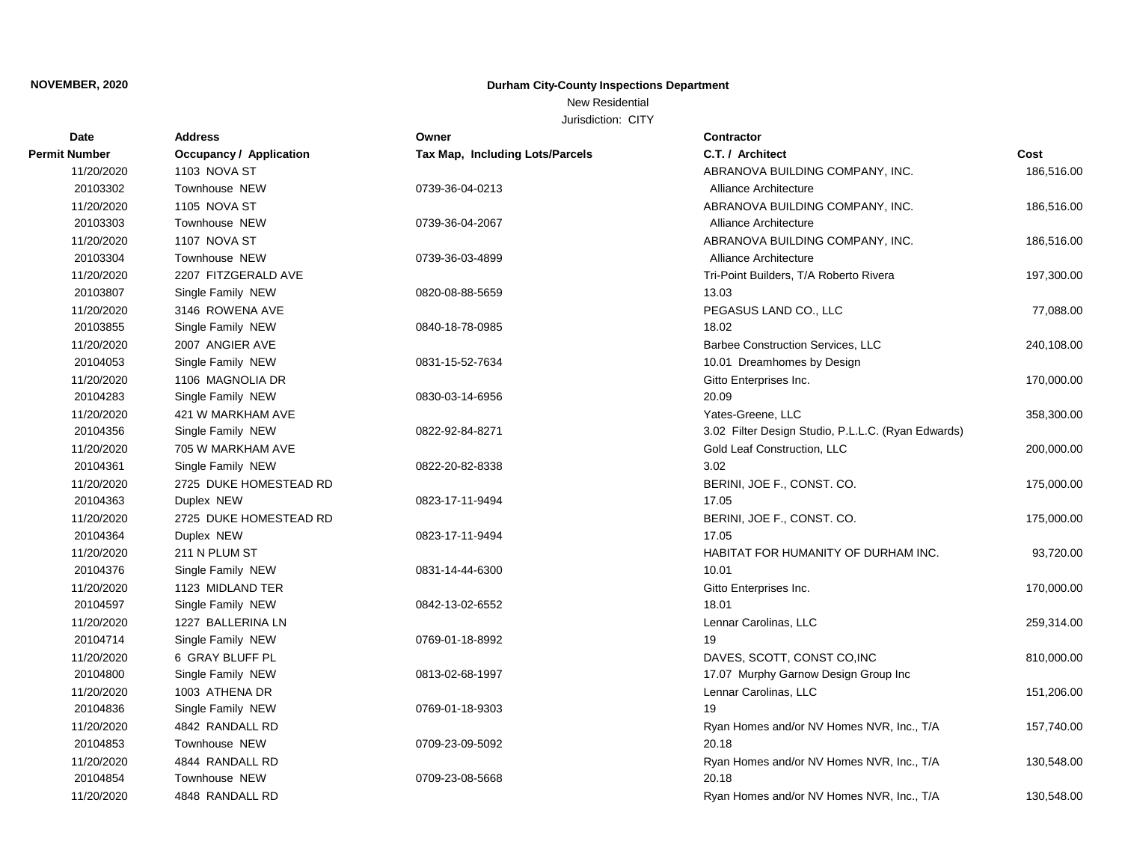# New Residential

| <b>Date</b>          | <b>Address</b>                 | Owner                           | <b>Contractor</b>                                  |            |
|----------------------|--------------------------------|---------------------------------|----------------------------------------------------|------------|
| <b>Permit Number</b> | <b>Occupancy / Application</b> | Tax Map, Including Lots/Parcels | C.T. / Architect                                   | Cost       |
| 11/20/2020           | 1103 NOVA ST                   |                                 | ABRANOVA BUILDING COMPANY, INC.                    | 186,516.00 |
| 20103302             | Townhouse NEW                  | 0739-36-04-0213                 | Alliance Architecture                              |            |
| 11/20/2020           | <b>1105 NOVA ST</b>            |                                 | ABRANOVA BUILDING COMPANY, INC.                    | 186,516.00 |
| 20103303             | Townhouse NEW                  | 0739-36-04-2067                 | Alliance Architecture                              |            |
| 11/20/2020           | 1107 NOVA ST                   |                                 | ABRANOVA BUILDING COMPANY, INC.                    | 186,516.00 |
| 20103304             | Townhouse NEW                  | 0739-36-03-4899                 | Alliance Architecture                              |            |
| 11/20/2020           | 2207 FITZGERALD AVE            |                                 | Tri-Point Builders, T/A Roberto Rivera             | 197,300.00 |
| 20103807             | Single Family NEW              | 0820-08-88-5659                 | 13.03                                              |            |
| 11/20/2020           | 3146 ROWENA AVE                |                                 | PEGASUS LAND CO., LLC                              | 77,088.00  |
| 20103855             | Single Family NEW              | 0840-18-78-0985                 | 18.02                                              |            |
| 11/20/2020           | 2007 ANGIER AVE                |                                 | Barbee Construction Services, LLC                  | 240,108.00 |
| 20104053             | Single Family NEW              | 0831-15-52-7634                 | 10.01 Dreamhomes by Design                         |            |
| 11/20/2020           | 1106 MAGNOLIA DR               |                                 | Gitto Enterprises Inc.                             | 170,000.00 |
| 20104283             | Single Family NEW              | 0830-03-14-6956                 | 20.09                                              |            |
| 11/20/2020           | 421 W MARKHAM AVE              |                                 | Yates-Greene, LLC                                  | 358,300.00 |
| 20104356             | Single Family NEW              | 0822-92-84-8271                 | 3.02 Filter Design Studio, P.L.L.C. (Ryan Edwards) |            |
| 11/20/2020           | 705 W MARKHAM AVE              |                                 | Gold Leaf Construction, LLC                        | 200,000.00 |
| 20104361             | Single Family NEW              | 0822-20-82-8338                 | 3.02                                               |            |
| 11/20/2020           | 2725 DUKE HOMESTEAD RD         |                                 | BERINI, JOE F., CONST. CO.                         | 175,000.00 |
| 20104363             | Duplex NEW                     | 0823-17-11-9494                 | 17.05                                              |            |
| 11/20/2020           | 2725 DUKE HOMESTEAD RD         |                                 | BERINI, JOE F., CONST. CO.                         | 175,000.00 |
| 20104364             | Duplex NEW                     | 0823-17-11-9494                 | 17.05                                              |            |
| 11/20/2020           | 211 N PLUM ST                  |                                 | HABITAT FOR HUMANITY OF DURHAM INC.                | 93,720.00  |
| 20104376             | Single Family NEW              | 0831-14-44-6300                 | 10.01                                              |            |
| 11/20/2020           | 1123 MIDLAND TER               |                                 | Gitto Enterprises Inc.                             | 170,000.00 |
| 20104597             | Single Family NEW              | 0842-13-02-6552                 | 18.01                                              |            |
| 11/20/2020           | 1227 BALLERINA LN              |                                 | Lennar Carolinas, LLC                              | 259,314.00 |
| 20104714             | Single Family NEW              | 0769-01-18-8992                 | 19                                                 |            |
| 11/20/2020           | 6 GRAY BLUFF PL                |                                 | DAVES, SCOTT, CONST CO, INC                        | 810,000.00 |
| 20104800             | Single Family NEW              | 0813-02-68-1997                 | 17.07 Murphy Garnow Design Group Inc               |            |
| 11/20/2020           | 1003 ATHENA DR                 |                                 | Lennar Carolinas, LLC                              | 151,206.00 |
| 20104836             | Single Family NEW              | 0769-01-18-9303                 | 19                                                 |            |
| 11/20/2020           | 4842 RANDALL RD                |                                 | Ryan Homes and/or NV Homes NVR, Inc., T/A          | 157,740.00 |
| 20104853             | Townhouse NEW                  | 0709-23-09-5092                 | 20.18                                              |            |
| 11/20/2020           | 4844 RANDALL RD                |                                 | Ryan Homes and/or NV Homes NVR, Inc., T/A          | 130,548.00 |
| 20104854             | Townhouse NEW                  | 0709-23-08-5668                 | 20.18                                              |            |
| 11/20/2020           | 4848 RANDALL RD                |                                 | Ryan Homes and/or NV Homes NVR, Inc., T/A          | 130,548.00 |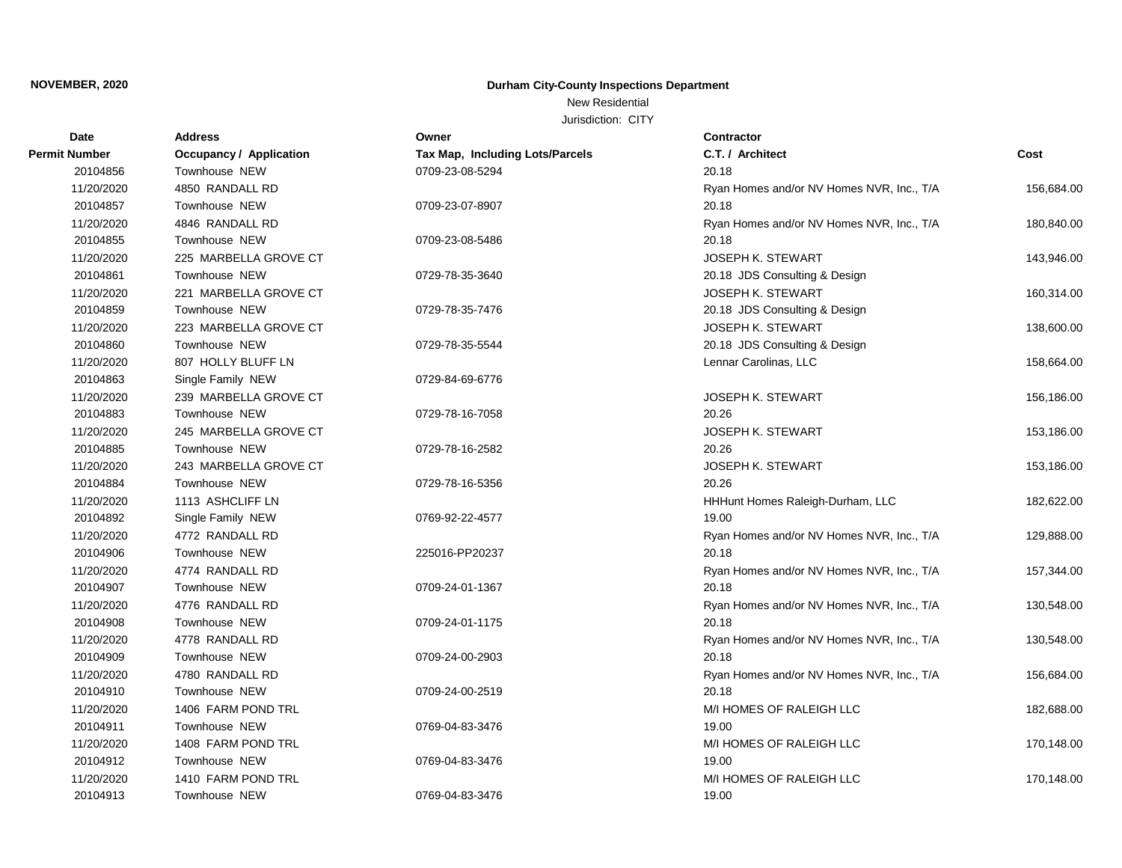# New Residential

| Date                 | <b>Address</b>                 | Owner                           | Contractor                                |            |
|----------------------|--------------------------------|---------------------------------|-------------------------------------------|------------|
| <b>Permit Number</b> | <b>Occupancy / Application</b> | Tax Map, Including Lots/Parcels | C.T. / Architect                          | Cost       |
| 20104856             | Townhouse NEW                  | 0709-23-08-5294                 | 20.18                                     |            |
| 11/20/2020           | 4850 RANDALL RD                |                                 | Ryan Homes and/or NV Homes NVR, Inc., T/A | 156,684.00 |
| 20104857             | Townhouse NEW                  | 0709-23-07-8907                 | 20.18                                     |            |
| 11/20/2020           | 4846 RANDALL RD                |                                 | Ryan Homes and/or NV Homes NVR, Inc., T/A | 180,840.00 |
| 20104855             | Townhouse NEW                  | 0709-23-08-5486                 | 20.18                                     |            |
| 11/20/2020           | 225 MARBELLA GROVE CT          |                                 | <b>JOSEPH K. STEWART</b>                  | 143,946.00 |
| 20104861             | Townhouse NEW                  | 0729-78-35-3640                 | 20.18 JDS Consulting & Design             |            |
| 11/20/2020           | 221 MARBELLA GROVE CT          |                                 | <b>JOSEPH K. STEWART</b>                  | 160,314.00 |
| 20104859             | Townhouse NEW                  | 0729-78-35-7476                 | 20.18 JDS Consulting & Design             |            |
| 11/20/2020           | 223 MARBELLA GROVE CT          |                                 | <b>JOSEPH K. STEWART</b>                  | 138,600.00 |
| 20104860             | Townhouse NEW                  | 0729-78-35-5544                 | 20.18 JDS Consulting & Design             |            |
| 11/20/2020           | 807 HOLLY BLUFF LN             |                                 | Lennar Carolinas, LLC                     | 158,664.00 |
| 20104863             | Single Family NEW              | 0729-84-69-6776                 |                                           |            |
| 11/20/2020           | 239 MARBELLA GROVE CT          |                                 | <b>JOSEPH K. STEWART</b>                  | 156,186.00 |
| 20104883             | Townhouse NEW                  | 0729-78-16-7058                 | 20.26                                     |            |
| 11/20/2020           | 245 MARBELLA GROVE CT          |                                 | <b>JOSEPH K. STEWART</b>                  | 153,186.00 |
| 20104885             | Townhouse NEW                  | 0729-78-16-2582                 | 20.26                                     |            |
| 11/20/2020           | 243 MARBELLA GROVE CT          |                                 | <b>JOSEPH K. STEWART</b>                  | 153,186.00 |
| 20104884             | Townhouse NEW                  | 0729-78-16-5356                 | 20.26                                     |            |
| 11/20/2020           | 1113 ASHCLIFF LN               |                                 | HHHunt Homes Raleigh-Durham, LLC          | 182,622.00 |
| 20104892             | Single Family NEW              | 0769-92-22-4577                 | 19.00                                     |            |
| 11/20/2020           | 4772 RANDALL RD                |                                 | Ryan Homes and/or NV Homes NVR, Inc., T/A | 129,888.00 |
| 20104906             | Townhouse NEW                  | 225016-PP20237                  | 20.18                                     |            |
| 11/20/2020           | 4774 RANDALL RD                |                                 | Ryan Homes and/or NV Homes NVR, Inc., T/A | 157,344.00 |
| 20104907             | Townhouse NEW                  | 0709-24-01-1367                 | 20.18                                     |            |
| 11/20/2020           | 4776 RANDALL RD                |                                 | Ryan Homes and/or NV Homes NVR, Inc., T/A | 130,548.00 |
| 20104908             | Townhouse NEW                  | 0709-24-01-1175                 | 20.18                                     |            |
| 11/20/2020           | 4778 RANDALL RD                |                                 | Ryan Homes and/or NV Homes NVR, Inc., T/A | 130,548.00 |
| 20104909             | Townhouse NEW                  | 0709-24-00-2903                 | 20.18                                     |            |
| 11/20/2020           | 4780 RANDALL RD                |                                 | Ryan Homes and/or NV Homes NVR, Inc., T/A | 156,684.00 |
| 20104910             | Townhouse NEW                  | 0709-24-00-2519                 | 20.18                                     |            |
| 11/20/2020           | 1406 FARM POND TRL             |                                 | M/I HOMES OF RALEIGH LLC                  | 182,688.00 |
| 20104911             | Townhouse NEW                  | 0769-04-83-3476                 | 19.00                                     |            |
| 11/20/2020           | 1408 FARM POND TRL             |                                 | M/I HOMES OF RALEIGH LLC                  | 170,148.00 |
| 20104912             | Townhouse NEW                  | 0769-04-83-3476                 | 19.00                                     |            |
| 11/20/2020           | 1410 FARM POND TRL             |                                 | M/I HOMES OF RALEIGH LLC                  | 170,148.00 |
| 20104913             | Townhouse NEW                  | 0769-04-83-3476                 | 19.00                                     |            |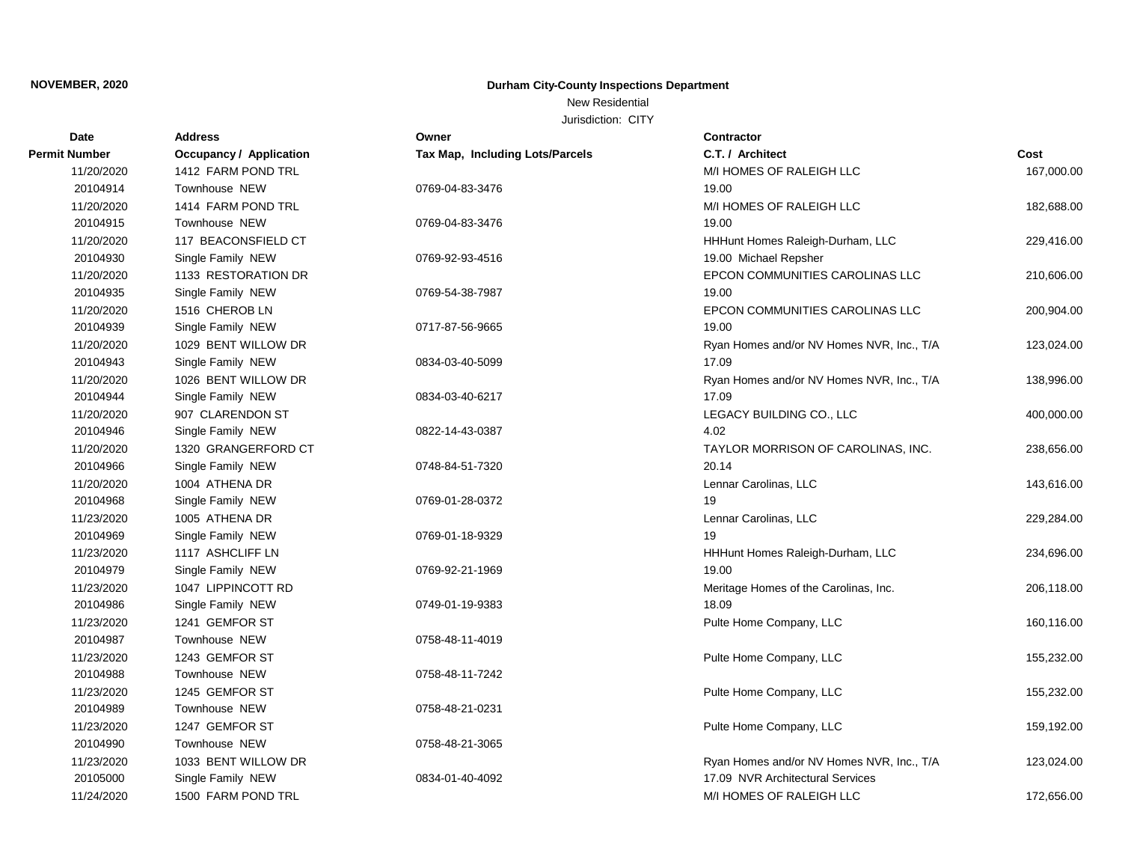# New Residential

| <b>Date</b>   | <b>Address</b>          | Owner                           | <b>Contractor</b>                         |            |
|---------------|-------------------------|---------------------------------|-------------------------------------------|------------|
| Permit Number | Occupancy / Application | Tax Map, Including Lots/Parcels | C.T. / Architect                          | Cost       |
| 11/20/2020    | 1412 FARM POND TRL      |                                 | M/I HOMES OF RALEIGH LLC                  | 167,000.00 |
| 20104914      | Townhouse NEW           | 0769-04-83-3476                 | 19.00                                     |            |
| 11/20/2020    | 1414 FARM POND TRL      |                                 | M/I HOMES OF RALEIGH LLC                  | 182,688.00 |
| 20104915      | Townhouse NEW           | 0769-04-83-3476                 | 19.00                                     |            |
| 11/20/2020    | 117 BEACONSFIELD CT     |                                 | HHHunt Homes Raleigh-Durham, LLC          | 229,416.00 |
| 20104930      | Single Family NEW       | 0769-92-93-4516                 | 19.00 Michael Repsher                     |            |
| 11/20/2020    | 1133 RESTORATION DR     |                                 | EPCON COMMUNITIES CAROLINAS LLC           | 210,606.00 |
| 20104935      | Single Family NEW       | 0769-54-38-7987                 | 19.00                                     |            |
| 11/20/2020    | 1516 CHEROB LN          |                                 | EPCON COMMUNITIES CAROLINAS LLC           | 200,904.00 |
| 20104939      | Single Family NEW       | 0717-87-56-9665                 | 19.00                                     |            |
| 11/20/2020    | 1029 BENT WILLOW DR     |                                 | Ryan Homes and/or NV Homes NVR, Inc., T/A | 123,024.00 |
| 20104943      | Single Family NEW       | 0834-03-40-5099                 | 17.09                                     |            |
| 11/20/2020    | 1026 BENT WILLOW DR     |                                 | Ryan Homes and/or NV Homes NVR, Inc., T/A | 138,996.00 |
| 20104944      | Single Family NEW       | 0834-03-40-6217                 | 17.09                                     |            |
| 11/20/2020    | 907 CLARENDON ST        |                                 | LEGACY BUILDING CO., LLC                  | 400,000.00 |
| 20104946      | Single Family NEW       | 0822-14-43-0387                 | 4.02                                      |            |
| 11/20/2020    | 1320 GRANGERFORD CT     |                                 | TAYLOR MORRISON OF CAROLINAS, INC.        | 238,656.00 |
| 20104966      | Single Family NEW       | 0748-84-51-7320                 | 20.14                                     |            |
| 11/20/2020    | 1004 ATHENA DR          |                                 | Lennar Carolinas, LLC                     | 143,616.00 |
| 20104968      | Single Family NEW       | 0769-01-28-0372                 | 19                                        |            |
| 11/23/2020    | 1005 ATHENA DR          |                                 | Lennar Carolinas, LLC                     | 229,284.00 |
| 20104969      | Single Family NEW       | 0769-01-18-9329                 | 19                                        |            |
| 11/23/2020    | 1117 ASHCLIFF LN        |                                 | HHHunt Homes Raleigh-Durham, LLC          | 234,696.00 |
| 20104979      | Single Family NEW       | 0769-92-21-1969                 | 19.00                                     |            |
| 11/23/2020    | 1047 LIPPINCOTT RD      |                                 | Meritage Homes of the Carolinas, Inc.     | 206,118.00 |
| 20104986      | Single Family NEW       | 0749-01-19-9383                 | 18.09                                     |            |
| 11/23/2020    | 1241 GEMFOR ST          |                                 | Pulte Home Company, LLC                   | 160,116.00 |
| 20104987      | Townhouse NEW           | 0758-48-11-4019                 |                                           |            |
| 11/23/2020    | 1243 GEMFOR ST          |                                 | Pulte Home Company, LLC                   | 155,232.00 |
| 20104988      | Townhouse NEW           | 0758-48-11-7242                 |                                           |            |
| 11/23/2020    | 1245 GEMFOR ST          |                                 | Pulte Home Company, LLC                   | 155,232.00 |
| 20104989      | Townhouse NEW           | 0758-48-21-0231                 |                                           |            |
| 11/23/2020    | 1247 GEMFOR ST          |                                 | Pulte Home Company, LLC                   | 159,192.00 |
| 20104990      | Townhouse NEW           | 0758-48-21-3065                 |                                           |            |
| 11/23/2020    | 1033 BENT WILLOW DR     |                                 | Ryan Homes and/or NV Homes NVR, Inc., T/A | 123,024.00 |
| 20105000      | Single Family NEW       | 0834-01-40-4092                 | 17.09 NVR Architectural Services          |            |
| 11/24/2020    | 1500 FARM POND TRL      |                                 | M/I HOMES OF RALEIGH LLC                  | 172,656.00 |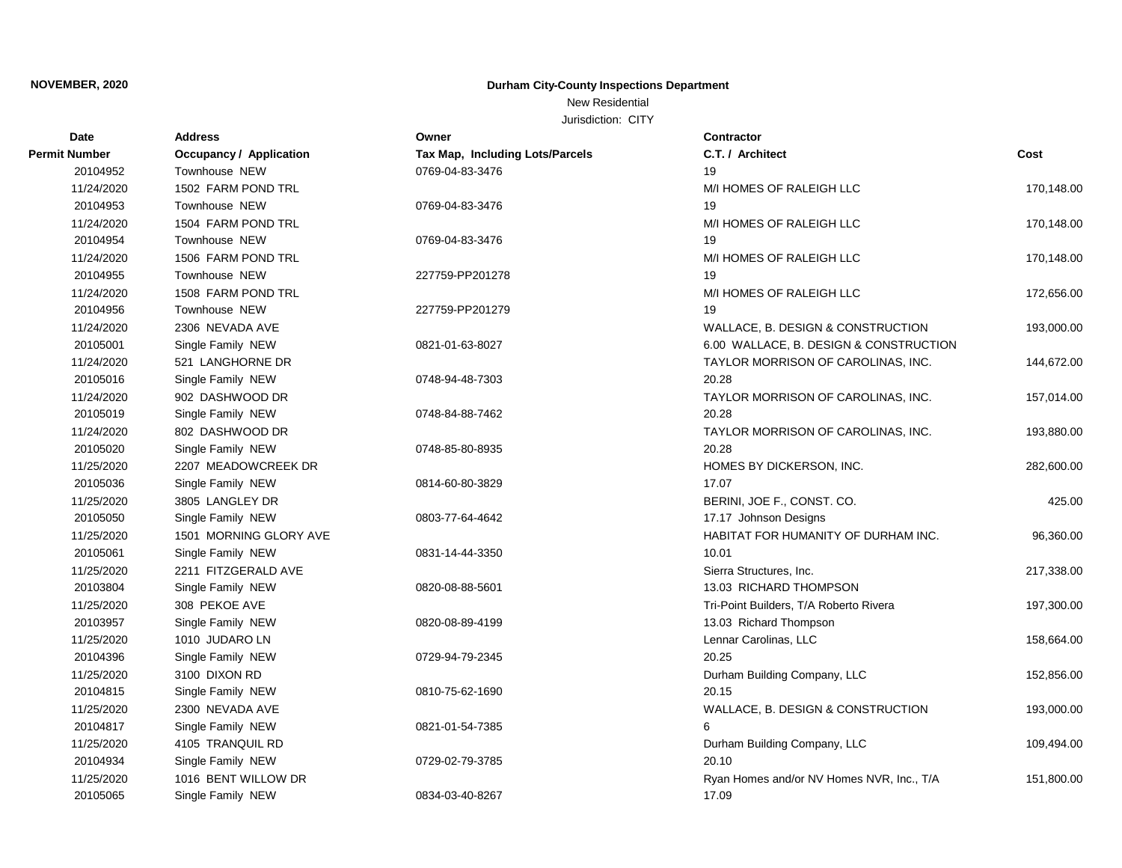#### New Residential

| <b>Date</b>   | <b>Address</b>                 | Owner                           | <b>Contractor</b>                         |            |
|---------------|--------------------------------|---------------------------------|-------------------------------------------|------------|
| Permit Number | <b>Occupancy / Application</b> | Tax Map, Including Lots/Parcels | C.T. / Architect                          | Cost       |
| 20104952      | Townhouse NEW                  | 0769-04-83-3476                 | 19                                        |            |
| 11/24/2020    | 1502 FARM POND TRL             |                                 | M/I HOMES OF RALEIGH LLC                  | 170,148.00 |
| 20104953      | Townhouse NEW                  | 0769-04-83-3476                 | 19                                        |            |
| 11/24/2020    | 1504 FARM POND TRL             |                                 | M/I HOMES OF RALEIGH LLC                  | 170,148.00 |
| 20104954      | Townhouse NEW                  | 0769-04-83-3476                 | 19                                        |            |
| 11/24/2020    | 1506 FARM POND TRL             |                                 | M/I HOMES OF RALEIGH LLC                  | 170,148.00 |
| 20104955      | Townhouse NEW                  | 227759-PP201278                 | 19                                        |            |
| 11/24/2020    | 1508 FARM POND TRL             |                                 | M/I HOMES OF RALEIGH LLC                  | 172,656.00 |
| 20104956      | Townhouse NEW                  | 227759-PP201279                 | 19                                        |            |
| 11/24/2020    | 2306 NEVADA AVE                |                                 | WALLACE, B. DESIGN & CONSTRUCTION         | 193,000.00 |
| 20105001      | Single Family NEW              | 0821-01-63-8027                 | 6.00 WALLACE, B. DESIGN & CONSTRUCTION    |            |
| 11/24/2020    | 521 LANGHORNE DR               |                                 | TAYLOR MORRISON OF CAROLINAS, INC.        | 144,672.00 |
| 20105016      | Single Family NEW              | 0748-94-48-7303                 | 20.28                                     |            |
| 11/24/2020    | 902 DASHWOOD DR                |                                 | TAYLOR MORRISON OF CAROLINAS, INC.        | 157,014.00 |
| 20105019      | Single Family NEW              | 0748-84-88-7462                 | 20.28                                     |            |
| 11/24/2020    | 802 DASHWOOD DR                |                                 | TAYLOR MORRISON OF CAROLINAS, INC.        | 193,880.00 |
| 20105020      | Single Family NEW              | 0748-85-80-8935                 | 20.28                                     |            |
| 11/25/2020    | 2207 MEADOWCREEK DR            |                                 | HOMES BY DICKERSON, INC.                  | 282,600.00 |
| 20105036      | Single Family NEW              | 0814-60-80-3829                 | 17.07                                     |            |
| 11/25/2020    | 3805 LANGLEY DR                |                                 | BERINI, JOE F., CONST. CO.                | 425.00     |
| 20105050      | Single Family NEW              | 0803-77-64-4642                 | 17.17 Johnson Designs                     |            |
| 11/25/2020    | 1501 MORNING GLORY AVE         |                                 | HABITAT FOR HUMANITY OF DURHAM INC.       | 96,360.00  |
| 20105061      | Single Family NEW              | 0831-14-44-3350                 | 10.01                                     |            |
| 11/25/2020    | 2211 FITZGERALD AVE            |                                 | Sierra Structures, Inc.                   | 217,338.00 |
| 20103804      | Single Family NEW              | 0820-08-88-5601                 | 13.03 RICHARD THOMPSON                    |            |
| 11/25/2020    | 308 PEKOE AVE                  |                                 | Tri-Point Builders, T/A Roberto Rivera    | 197,300.00 |
| 20103957      | Single Family NEW              | 0820-08-89-4199                 | 13.03 Richard Thompson                    |            |
| 11/25/2020    | 1010 JUDARO LN                 |                                 | Lennar Carolinas, LLC                     | 158,664.00 |
| 20104396      | Single Family NEW              | 0729-94-79-2345                 | 20.25                                     |            |
| 11/25/2020    | 3100 DIXON RD                  |                                 | Durham Building Company, LLC              | 152,856.00 |
| 20104815      | Single Family NEW              | 0810-75-62-1690                 | 20.15                                     |            |
| 11/25/2020    | 2300 NEVADA AVE                |                                 | WALLACE, B. DESIGN & CONSTRUCTION         | 193,000.00 |
| 20104817      | Single Family NEW              | 0821-01-54-7385                 | 6                                         |            |
| 11/25/2020    | 4105 TRANQUIL RD               |                                 | Durham Building Company, LLC              | 109,494.00 |
| 20104934      | Single Family NEW              | 0729-02-79-3785                 | 20.10                                     |            |
| 11/25/2020    | 1016 BENT WILLOW DR            |                                 | Ryan Homes and/or NV Homes NVR, Inc., T/A | 151,800.00 |
| 20105065      | Single Family NEW              | 0834-03-40-8267                 | 17.09                                     |            |